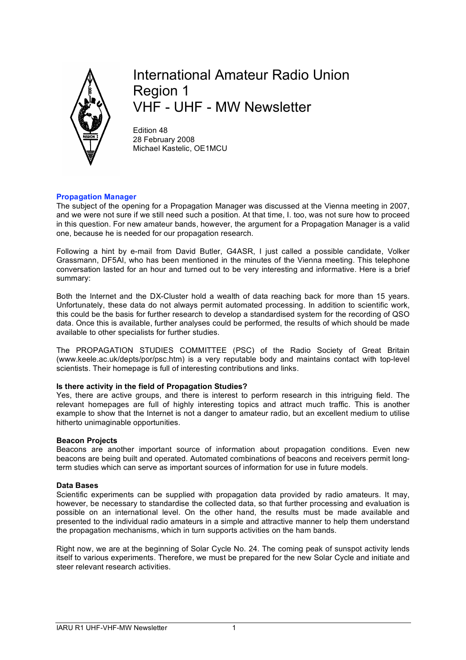

# International Amateur Radio Union Region 1 VHF - UHF - MW Newsletter

Edition 48 28 February 2008 Michael Kastelic, OE1MCU

## **Propagation Manager**

The subject of the opening for a Propagation Manager was discussed at the Vienna meeting in 2007, and we were not sure if we still need such a position. At that time, I. too, was not sure how to proceed in this question. For new amateur bands, however, the argument for a Propagation Manager is a valid one, because he is needed for our propagation research.

Following a hint by e-mail from David Butler, G4ASR, I just called a possible candidate, Volker Grassmann, DF5AI, who has been mentioned in the minutes of the Vienna meeting. This telephone conversation lasted for an hour and turned out to be very interesting and informative. Here is a brief summary:

Both the Internet and the DX-Cluster hold a wealth of data reaching back for more than 15 years. Unfortunately, these data do not always permit automated processing. In addition to scientific work, this could be the basis for further research to develop a standardised system for the recording of QSO data. Once this is available, further analyses could be performed, the results of which should be made available to other specialists for further studies.

The PROPAGATION STUDIES COMMITTEE (PSC) of the Radio Society of Great Britain (www.keele.ac.uk/depts/por/psc.htm) is a very reputable body and maintains contact with top-level scientists. Their homepage is full of interesting contributions and links.

## **Is there activity in the field of Propagation Studies?**

Yes, there are active groups, and there is interest to perform research in this intriguing field. The relevant homepages are full of highly interesting topics and attract much traffic. This is another example to show that the Internet is not a danger to amateur radio, but an excellent medium to utilise hitherto unimaginable opportunities.

#### **Beacon Projects**

Beacons are another important source of information about propagation conditions. Even new beacons are being built and operated. Automated combinations of beacons and receivers permit longterm studies which can serve as important sources of information for use in future models.

#### **Data Bases**

Scientific experiments can be supplied with propagation data provided by radio amateurs. It may, however, be necessary to standardise the collected data, so that further processing and evaluation is possible on an international level. On the other hand, the results must be made available and presented to the individual radio amateurs in a simple and attractive manner to help them understand the propagation mechanisms, which in turn supports activities on the ham bands.

Right now, we are at the beginning of Solar Cycle No. 24. The coming peak of sunspot activity lends itself to various experiments. Therefore, we must be prepared for the new Solar Cycle and initiate and steer relevant research activities.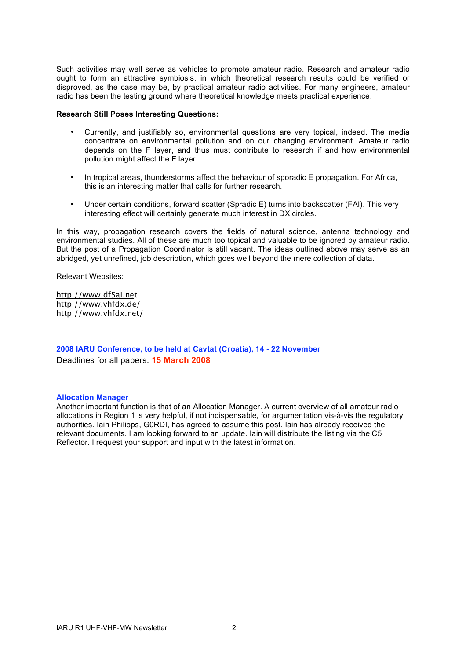Such activities may well serve as vehicles to promote amateur radio. Research and amateur radio ought to form an attractive symbiosis, in which theoretical research results could be verified or disproved, as the case may be, by practical amateur radio activities. For many engineers, amateur radio has been the testing ground where theoretical knowledge meets practical experience.

## **Research Still Poses Interesting Questions:**

- Currently, and justifiably so, environmental questions are very topical, indeed. The media concentrate on environmental pollution and on our changing environment. Amateur radio depends on the F layer, and thus must contribute to research if and how environmental pollution might affect the F layer.
- In tropical areas, thunderstorms affect the behaviour of sporadic E propagation. For Africa, this is an interesting matter that calls for further research.
- Under certain conditions, forward scatter (Spradic E) turns into backscatter (FAI). This very interesting effect will certainly generate much interest in DX circles.

In this way, propagation research covers the fields of natural science, antenna technology and environmental studies. All of these are much too topical and valuable to be ignored by amateur radio. But the post of a Propagation Coordinator is still vacant. The ideas outlined above may serve as an abridged, yet unrefined, job description, which goes well beyond the mere collection of data.

Relevant Websites:

http://www.df5ai.net http://www.vhfdx.de/ http://www.vhfdx.net/

**2008 IARU Conference, to be held at Cavtat (Croatia), 14 - 22 November** Deadlines for all papers: **15 March 2008**

## **Allocation Manager**

Another important function is that of an Allocation Manager. A current overview of all amateur radio allocations in Region 1 is very helpful, if not indispensable, for argumentation vis-à-vis the regulatory authorities. Iain Philipps, G0RDI, has agreed to assume this post. Iain has already received the relevant documents. I am looking forward to an update. Iain will distribute the listing via the C5 Reflector. I request your support and input with the latest information.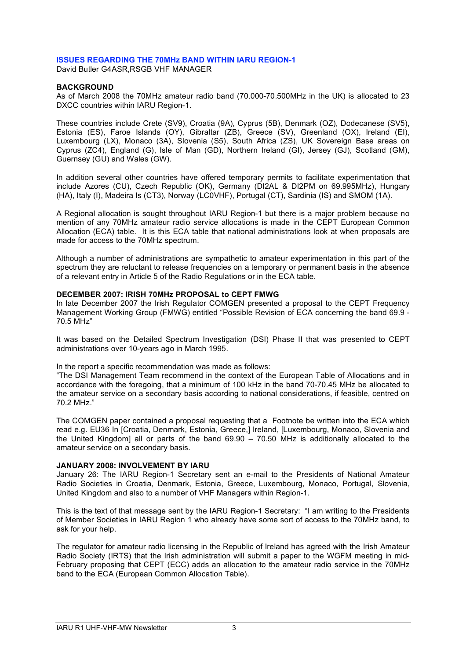#### **ISSUES REGARDING THE 70MHz BAND WITHIN IARU REGION-1**

David Butler G4ASR,RSGB VHF MANAGER

#### **BACKGROUND**

As of March 2008 the 70MHz amateur radio band (70.000-70.500MHz in the UK) is allocated to 23 DXCC countries within IARU Region-1.

These countries include Crete (SV9), Croatia (9A), Cyprus (5B), Denmark (OZ), Dodecanese (SV5), Estonia (ES), Faroe Islands (OY), Gibraltar (ZB), Greece (SV), Greenland (OX), Ireland (EI), Luxembourg (LX), Monaco (3A), Slovenia (S5), South Africa (ZS), UK Sovereign Base areas on Cyprus (ZC4), England (G), Isle of Man (GD), Northern Ireland (GI), Jersey (GJ), Scotland (GM), Guernsey (GU) and Wales (GW).

In addition several other countries have offered temporary permits to facilitate experimentation that include Azores (CU), Czech Republic (OK), Germany (DI2AL & DI2PM on 69.995MHz), Hungary (HA), Italy (I), Madeira Is (CT3), Norway (LC0VHF), Portugal (CT), Sardinia (IS) and SMOM (1A).

A Regional allocation is sought throughout IARU Region-1 but there is a major problem because no mention of any 70MHz amateur radio service allocations is made in the CEPT European Common Allocation (ECA) table. It is this ECA table that national administrations look at when proposals are made for access to the 70MHz spectrum.

Although a number of administrations are sympathetic to amateur experimentation in this part of the spectrum they are reluctant to release frequencies on a temporary or permanent basis in the absence of a relevant entry in Article 5 of the Radio Regulations or in the ECA table.

#### **DECEMBER 2007: IRISH 70MHz PROPOSAL to CEPT FMWG**

In late December 2007 the Irish Regulator COMGEN presented a proposal to the CEPT Frequency Management Working Group (FMWG) entitled "Possible Revision of ECA concerning the band 69.9 - 70.5 MHz"

It was based on the Detailed Spectrum Investigation (DSI) Phase II that was presented to CEPT administrations over 10-years ago in March 1995.

In the report a specific recommendation was made as follows:

"The DSI Management Team recommend in the context of the European Table of Allocations and in accordance with the foregoing, that a minimum of 100 kHz in the band 70-70.45 MHz be allocated to the amateur service on a secondary basis according to national considerations, if feasible, centred on 70.2 MHz."

The COMGEN paper contained a proposal requesting that a Footnote be written into the ECA which read e.g. EU36 In [Croatia, Denmark, Estonia, Greece,] Ireland, [Luxembourg, Monaco, Slovenia and the United Kingdom] all or parts of the band 69.90 – 70.50 MHz is additionally allocated to the amateur service on a secondary basis.

#### **JANUARY 2008: INVOLVEMENT BY IARU**

January 26: The IARU Region-1 Secretary sent an e-mail to the Presidents of National Amateur Radio Societies in Croatia, Denmark, Estonia, Greece, Luxembourg, Monaco, Portugal, Slovenia, United Kingdom and also to a number of VHF Managers within Region-1.

This is the text of that message sent by the IARU Region-1 Secretary: "I am writing to the Presidents of Member Societies in IARU Region 1 who already have some sort of access to the 70MHz band, to ask for your help.

The regulator for amateur radio licensing in the Republic of Ireland has agreed with the Irish Amateur Radio Society (IRTS) that the Irish administration will submit a paper to the WGFM meeting in mid-February proposing that CEPT (ECC) adds an allocation to the amateur radio service in the 70MHz band to the ECA (European Common Allocation Table).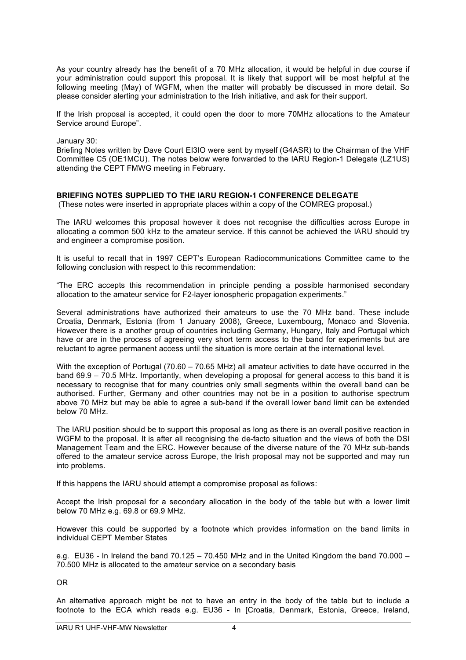As your country already has the benefit of a 70 MHz allocation, it would be helpful in due course if your administration could support this proposal. It is likely that support will be most helpful at the following meeting (May) of WGFM, when the matter will probably be discussed in more detail. So please consider alerting your administration to the Irish initiative, and ask for their support.

If the Irish proposal is accepted, it could open the door to more 70MHz allocations to the Amateur Service around Europe".

January 30:

Briefing Notes written by Dave Court EI3IO were sent by myself (G4ASR) to the Chairman of the VHF Committee C5 (OE1MCU). The notes below were forwarded to the IARU Region-1 Delegate (LZ1US) attending the CEPT FMWG meeting in February.

### **BRIEFING NOTES SUPPLIED TO THE IARU REGION-1 CONFERENCE DELEGATE**

(These notes were inserted in appropriate places within a copy of the COMREG proposal.)

The IARU welcomes this proposal however it does not recognise the difficulties across Europe in allocating a common 500 kHz to the amateur service. If this cannot be achieved the IARU should try and engineer a compromise position.

It is useful to recall that in 1997 CEPT's European Radiocommunications Committee came to the following conclusion with respect to this recommendation:

"The ERC accepts this recommendation in principle pending a possible harmonised secondary allocation to the amateur service for F2-layer ionospheric propagation experiments."

Several administrations have authorized their amateurs to use the 70 MHz band. These include Croatia, Denmark, Estonia (from 1 January 2008), Greece, Luxembourg, Monaco and Slovenia. However there is a another group of countries including Germany, Hungary, Italy and Portugal which have or are in the process of agreeing very short term access to the band for experiments but are reluctant to agree permanent access until the situation is more certain at the international level.

With the exception of Portugal (70.60 – 70.65 MHz) all amateur activities to date have occurred in the band 69.9 – 70.5 MHz. Importantly, when developing a proposal for general access to this band it is necessary to recognise that for many countries only small segments within the overall band can be authorised. Further, Germany and other countries may not be in a position to authorise spectrum above 70 MHz but may be able to agree a sub-band if the overall lower band limit can be extended below 70 MHz.

The IARU position should be to support this proposal as long as there is an overall positive reaction in WGFM to the proposal. It is after all recognising the de-facto situation and the views of both the DSI Management Team and the ERC. However because of the diverse nature of the 70 MHz sub-bands offered to the amateur service across Europe, the Irish proposal may not be supported and may run into problems.

If this happens the IARU should attempt a compromise proposal as follows:

Accept the Irish proposal for a secondary allocation in the body of the table but with a lower limit below 70 MHz e.g. 69.8 or 69.9 MHz.

However this could be supported by a footnote which provides information on the band limits in individual CEPT Member States

e.g. EU36 - In Ireland the band  $70.125 - 70.450$  MHz and in the United Kingdom the band  $70.000 -$ 70.500 MHz is allocated to the amateur service on a secondary basis

OR

An alternative approach might be not to have an entry in the body of the table but to include a footnote to the ECA which reads e.g. EU36 - In [Croatia, Denmark, Estonia, Greece, Ireland,